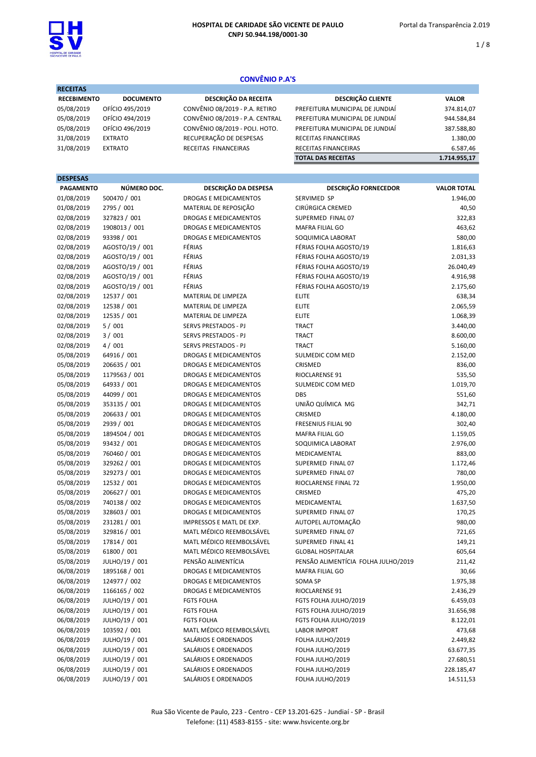

1 / 8

# CONVÊNIO P.A'S

| <b>RECEITAS</b>    |                  |                                 |                                 |              |  |
|--------------------|------------------|---------------------------------|---------------------------------|--------------|--|
| <b>RECEBIMENTO</b> | <b>DOCUMENTO</b> | DESCRIÇÃO DA RECEITA            | <b>DESCRIÇÃO CLIENTE</b>        | <b>VALOR</b> |  |
| 05/08/2019         | OFÍCIO 495/2019  | CONVÊNIO 08/2019 - P.A. RETIRO  | PREFEITURA MUNICIPAL DE JUNDIAÍ | 374.814,07   |  |
| 05/08/2019         | OFÍCIO 494/2019  | CONVÊNIO 08/2019 - P.A. CENTRAL | PREFEITURA MUNICIPAL DE JUNDIAÍ | 944.584,84   |  |
| 05/08/2019         | OFÍCIO 496/2019  | CONVÊNIO 08/2019 - POLI. HOTO.  | PREFEITURA MUNICIPAL DE JUNDIAÍ | 387.588,80   |  |
| 31/08/2019         | <b>EXTRATO</b>   | RECUPERAÇÃO DE DESPESAS         | <b>RECEITAS FINANCEIRAS</b>     | 1.380,00     |  |
| 31/08/2019         | <b>EXTRATO</b>   | RECEITAS FINANCEIRAS            | RECEITAS FINANCEIRAS            | 6.587,46     |  |
|                    |                  |                                 | <b>TOTAL DAS RECEITAS</b>       | 1.714.955.17 |  |

## DESPESAS

| <b>PAGAMENTO</b> | NÚMERO DOC.     | <b>DESCRIÇÃO DA DESPESA</b>  | <b>DESCRIÇÃO FORNECEDOR</b>         | <b>VALOR TOTAL</b> |
|------------------|-----------------|------------------------------|-------------------------------------|--------------------|
| 01/08/2019       | 500470 / 001    | DROGAS E MEDICAMENTOS        | SERVIMED SP                         | 1.946,00           |
| 01/08/2019       | 2795 / 001      | MATERIAL DE REPOSIÇÃO        | CIRÚRGICA CREMED                    | 40,50              |
| 02/08/2019       | 327823 / 001    | DROGAS E MEDICAMENTOS        | SUPERMED FINAL 07                   | 322,83             |
| 02/08/2019       | 1908013 / 001   | DROGAS E MEDICAMENTOS        | MAFRA FILIAL GO                     | 463,62             |
| 02/08/2019       | 93398 / 001     | DROGAS E MEDICAMENTOS        | SOQUIMICA LABORAT                   | 580,00             |
| 02/08/2019       | AGOSTO/19 / 001 | FÉRIAS                       | FÉRIAS FOLHA AGOSTO/19              | 1.816,63           |
| 02/08/2019       | AGOSTO/19 / 001 | FÉRIAS                       | FÉRIAS FOLHA AGOSTO/19              | 2.031,33           |
| 02/08/2019       | AGOSTO/19 / 001 | FÉRIAS                       | FÉRIAS FOLHA AGOSTO/19              | 26.040,49          |
| 02/08/2019       | AGOSTO/19 / 001 | FÉRIAS                       | FÉRIAS FOLHA AGOSTO/19              | 4.916,98           |
| 02/08/2019       | AGOSTO/19 / 001 | FÉRIAS                       | FÉRIAS FOLHA AGOSTO/19              | 2.175,60           |
| 02/08/2019       | 12537 / 001     | MATERIAL DE LIMPEZA          | <b>ELITE</b>                        | 638,34             |
| 02/08/2019       | 12538 / 001     | MATERIAL DE LIMPEZA          | <b>ELITE</b>                        | 2.065,59           |
| 02/08/2019       | 12535 / 001     | MATERIAL DE LIMPEZA          | <b>ELITE</b>                        | 1.068,39           |
| 02/08/2019       | 5/001           | SERVS PRESTADOS - PJ         | <b>TRACT</b>                        | 3.440,00           |
| 02/08/2019       | 3/001           | SERVS PRESTADOS - PJ         | <b>TRACT</b>                        | 8.600,00           |
| 02/08/2019       | 4/001           | SERVS PRESTADOS - PJ         | <b>TRACT</b>                        | 5.160,00           |
| 05/08/2019       | 64916 / 001     | DROGAS E MEDICAMENTOS        | SULMEDIC COM MED                    | 2.152,00           |
| 05/08/2019       | 206635 / 001    | DROGAS E MEDICAMENTOS        | CRISMED                             | 836,00             |
| 05/08/2019       | 1179563 / 001   | DROGAS E MEDICAMENTOS        | RIOCLARENSE 91                      | 535,50             |
| 05/08/2019       | 64933 / 001     | DROGAS E MEDICAMENTOS        | SULMEDIC COM MED                    | 1.019,70           |
| 05/08/2019       | 44099 / 001     | DROGAS E MEDICAMENTOS        | DBS                                 | 551,60             |
| 05/08/2019       | 353135 / 001    | DROGAS E MEDICAMENTOS        | UNIÃO QUÍMICA MG                    | 342,71             |
| 05/08/2019       | 206633 / 001    | DROGAS E MEDICAMENTOS        | CRISMED                             | 4.180,00           |
| 05/08/2019       | 2939 / 001      | DROGAS E MEDICAMENTOS        | <b>FRESENIUS FILIAL 90</b>          | 302,40             |
| 05/08/2019       | 1894504 / 001   | DROGAS E MEDICAMENTOS        | MAFRA FILIAL GO                     | 1.159,05           |
| 05/08/2019       | 93432 / 001     | DROGAS E MEDICAMENTOS        | SOQUIMICA LABORAT                   | 2.976,00           |
| 05/08/2019       | 760460 / 001    | DROGAS E MEDICAMENTOS        | MEDICAMENTAL                        | 883,00             |
| 05/08/2019       | 329262 / 001    | DROGAS E MEDICAMENTOS        | SUPERMED FINAL 07                   | 1.172,46           |
| 05/08/2019       | 329273 / 001    | DROGAS E MEDICAMENTOS        | SUPERMED FINAL 07                   | 780,00             |
| 05/08/2019       | 12532 / 001     | DROGAS E MEDICAMENTOS        | RIOCLARENSE FINAL 72                | 1.950,00           |
| 05/08/2019       | 206627 / 001    | DROGAS E MEDICAMENTOS        | CRISMED                             | 475,20             |
| 05/08/2019       | 740138 / 002    | DROGAS E MEDICAMENTOS        | MEDICAMENTAL                        | 1.637,50           |
| 05/08/2019       | 328603 / 001    | DROGAS E MEDICAMENTOS        | SUPERMED FINAL 07                   | 170,25             |
| 05/08/2019       | 231281 / 001    | IMPRESSOS E MATL DE EXP.     | AUTOPEL AUTOMAÇÃO                   | 980,00             |
| 05/08/2019       | 329816 / 001    | MATL MÉDICO REEMBOLSÁVEL     | SUPERMED FINAL 07                   | 721,65             |
| 05/08/2019       | 17814 / 001     | MATL MÉDICO REEMBOLSÁVEL     | SUPERMED FINAL 41                   | 149,21             |
| 05/08/2019       | 61800 / 001     | MATL MÉDICO REEMBOLSÁVEL     | <b>GLOBAL HOSPITALAR</b>            | 605,64             |
| 05/08/2019       | JULHO/19 / 001  | PENSÃO ALIMENTÍCIA           | PENSÃO ALIMENTÍCIA FOLHA JULHO/2019 | 211,42             |
| 06/08/2019       | 1895168 / 001   | DROGAS E MEDICAMENTOS        | MAFRA FILIAL GO                     | 30,66              |
| 06/08/2019       | 124977 / 002    | <b>DROGAS E MEDICAMENTOS</b> | SOMA SP                             | 1.975,38           |
| 06/08/2019       | 1166165 / 002   | DROGAS E MEDICAMENTOS        | RIOCLARENSE 91                      | 2.436,29           |
| 06/08/2019       | JULHO/19 / 001  | <b>FGTS FOLHA</b>            | FGTS FOLHA JULHO/2019               | 6.459,03           |
| 06/08/2019       | JULHO/19 / 001  | <b>FGTS FOLHA</b>            | FGTS FOLHA JULHO/2019               | 31.656,98          |
| 06/08/2019       | JULHO/19 / 001  | <b>FGTS FOLHA</b>            | FGTS FOLHA JULHO/2019               | 8.122,01           |
| 06/08/2019       | 103592 / 001    | MATL MÉDICO REEMBOLSÁVEL     | <b>LABOR IMPORT</b>                 | 473,68             |
| 06/08/2019       | JULHO/19 / 001  | SALÁRIOS E ORDENADOS         | FOLHA JULHO/2019                    | 2.449,82           |
| 06/08/2019       | JULHO/19 / 001  | SALÁRIOS E ORDENADOS         | FOLHA JULHO/2019                    | 63.677,35          |
| 06/08/2019       | JULHO/19 / 001  | SALÁRIOS E ORDENADOS         | FOLHA JULHO/2019                    | 27.680,51          |
| 06/08/2019       | JULHO/19 / 001  | SALÁRIOS E ORDENADOS         | FOLHA JULHO/2019                    | 228.185,47         |
| 06/08/2019       | JULHO/19 / 001  | SALÁRIOS E ORDENADOS         | FOLHA JULHO/2019                    |                    |
|                  |                 |                              |                                     | 14.511,53          |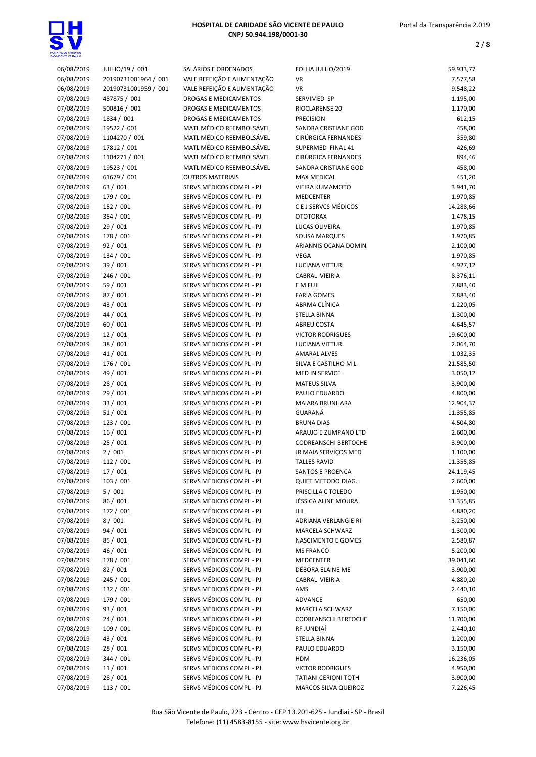

# Portal da Transparência 2.019

| 06/08/2019               | JULHO/19 / 001       | SALÁRIOS E ORDENADOS                                 | FOLHA JULHO/2019            | 59.933,77 |
|--------------------------|----------------------|------------------------------------------------------|-----------------------------|-----------|
| 06/08/2019               | 20190731001964 / 001 | VALE REFEIÇÃO E ALIMENTAÇÃO                          | VR                          | 7.577,58  |
| 06/08/2019               | 20190731001959 / 001 | VALE REFEIÇÃO E ALIMENTAÇÃO                          | VR                          | 9.548,22  |
| 07/08/2019               | 487875 / 001         | DROGAS E MEDICAMENTOS                                | SERVIMED SP                 | 1.195,00  |
| 07/08/2019               | 500816 / 001         | DROGAS E MEDICAMENTOS                                | RIOCLARENSE 20              | 1.170,00  |
| 07/08/2019               | 1834 / 001           | DROGAS E MEDICAMENTOS                                | <b>PRECISION</b>            | 612,15    |
| 07/08/2019               | 19522 / 001          | MATL MÉDICO REEMBOLSÁVEL                             | SANDRA CRISTIANE GOD        | 458,00    |
| 07/08/2019               | 1104270 / 001        | MATL MÉDICO REEMBOLSÁVEL                             | CIRÚRGICA FERNANDES         | 359,80    |
| 07/08/2019               | 17812 / 001          | MATL MÉDICO REEMBOLSÁVEL                             | SUPERMED FINAL 41           | 426,69    |
| 07/08/2019               | 1104271 / 001        | MATL MÉDICO REEMBOLSÁVEL                             | CIRÚRGICA FERNANDES         | 894,46    |
| 07/08/2019               | 19523 / 001          | MATL MÉDICO REEMBOLSÁVEL                             | SANDRA CRISTIANE GOD        | 458,00    |
| 07/08/2019               | 61679 / 001          | <b>OUTROS MATERIAIS</b>                              | MAX MEDICAL                 | 451,20    |
| 07/08/2019               | 63 / 001             | SERVS MÉDICOS COMPL - PJ                             | VIEIRA KUMAMOTO             | 3.941,70  |
| 07/08/2019               | 179 / 001            | SERVS MÉDICOS COMPL - PJ                             | <b>MEDCENTER</b>            | 1.970,85  |
| 07/08/2019               | 152 / 001            | SERVS MÉDICOS COMPL - PJ                             | C E J SERVCS MÉDICOS        | 14.288,66 |
| 07/08/2019               | 354 / 001            | SERVS MÉDICOS COMPL - PJ                             | <b>OTOTORAX</b>             | 1.478,15  |
| 07/08/2019               | 29 / 001             | SERVS MÉDICOS COMPL - PJ                             | LUCAS OLIVEIRA              | 1.970,85  |
| 07/08/2019               | 178 / 001            | SERVS MÉDICOS COMPL - PJ                             | SOUSA MARQUES               | 1.970,85  |
| 07/08/2019               | 92/001               | SERVS MÉDICOS COMPL - PJ                             | ARIANNIS OCANA DOMIN        | 2.100,00  |
|                          |                      |                                                      | VEGA                        |           |
| 07/08/2019<br>07/08/2019 | 134 / 001            | SERVS MÉDICOS COMPL - PJ<br>SERVS MÉDICOS COMPL - PJ |                             | 1.970,85  |
|                          | 39 / 001             | SERVS MÉDICOS COMPL - PJ                             | LUCIANA VITTURI             | 4.927,12  |
| 07/08/2019               | 246 / 001            |                                                      | CABRAL VIEIRIA              | 8.376,11  |
| 07/08/2019               | 59 / 001             | SERVS MÉDICOS COMPL - PJ                             | E M FUJI                    | 7.883,40  |
| 07/08/2019               | 87 / 001             | SERVS MÉDICOS COMPL - PJ                             | <b>FARIA GOMES</b>          | 7.883,40  |
| 07/08/2019               | 43 / 001             | SERVS MÉDICOS COMPL - PJ                             | ABRMA CLÍNICA               | 1.220,05  |
| 07/08/2019               | 44 / 001             | SERVS MÉDICOS COMPL - PJ                             | <b>STELLA BINNA</b>         | 1.300,00  |
| 07/08/2019               | 60 / 001             | SERVS MÉDICOS COMPL - PJ                             | ABREU COSTA                 | 4.645,57  |
| 07/08/2019               | 12/001               | SERVS MÉDICOS COMPL - PJ                             | <b>VICTOR RODRIGUES</b>     | 19.600,00 |
| 07/08/2019               | 38 / 001             | SERVS MÉDICOS COMPL - PJ                             | LUCIANA VITTURI             | 2.064,70  |
| 07/08/2019               | 41 / 001             | SERVS MÉDICOS COMPL - PJ                             | <b>AMARAL ALVES</b>         | 1.032,35  |
| 07/08/2019               | 176 / 001            | SERVS MÉDICOS COMPL - PJ                             | SILVA E CASTILHO M L        | 21.585,50 |
| 07/08/2019               | 49 / 001             | SERVS MÉDICOS COMPL - PJ                             | <b>MED IN SERVICE</b>       | 3.050,12  |
| 07/08/2019               | 28 / 001             | SERVS MÉDICOS COMPL - PJ                             | <b>MATEUS SILVA</b>         | 3.900,00  |
| 07/08/2019               | 29 / 001             | SERVS MÉDICOS COMPL - PJ                             | PAULO EDUARDO               | 4.800,00  |
| 07/08/2019               | 33 / 001             | SERVS MÉDICOS COMPL - PJ                             | MAIARA BRUNHARA             | 12.904,37 |
| 07/08/2019               | 51/001               | SERVS MÉDICOS COMPL - PJ                             | GUARANÁ                     | 11.355,85 |
| 07/08/2019               | 123 / 001            | SERVS MÉDICOS COMPL - PJ                             | <b>BRUNA DIAS</b>           | 4.504,80  |
| 07/08/2019               | 16/001               | SERVS MÉDICOS COMPL - PJ                             | ARAUJO E ZUMPANO LTD        | 2.600,00  |
| 07/08/2019               | 25/001               | SERVS MÉDICOS COMPL - PJ                             | <b>CODREANSCHI BERTOCHE</b> | 3.900,00  |
| 07/08/2019               | 2/001                | SERVS MÉDICOS COMPL - PJ                             | JR MAIA SERVIÇOS MED        | 1.100,00  |
| 07/08/2019               | 112 / 001            | SERVS MÉDICOS COMPL - PJ                             | <b>TALLES RAVID</b>         | 11.355,85 |
| 07/08/2019               | 17 / 001             | SERVS MÉDICOS COMPL - PJ                             | <b>SANTOS E PROENCA</b>     | 24.119,45 |
| 07/08/2019               | 103 / 001            | SERVS MÉDICOS COMPL - PJ                             | QUIET METODO DIAG.          | 2.600,00  |
| 07/08/2019               | 5/001                | SERVS MÉDICOS COMPL - PJ                             | PRISCILLA C TOLEDO          | 1.950,00  |
| 07/08/2019               | 86 / 001             | SERVS MÉDICOS COMPL - PJ                             | JÉSSICA ALINE MOURA         | 11.355,85 |
| 07/08/2019               | 172 / 001            | SERVS MÉDICOS COMPL - PJ                             | JHL                         | 4.880,20  |
| 07/08/2019               | 8/001                | SERVS MÉDICOS COMPL - PJ                             | ADRIANA VERLANGIEIRI        | 3.250,00  |
| 07/08/2019               | 94 / 001             | SERVS MÉDICOS COMPL - PJ                             | MARCELA SCHWARZ             | 1.300,00  |
| 07/08/2019               | 85 / 001             | SERVS MÉDICOS COMPL - PJ                             | NASCIMENTO E GOMES          | 2.580,87  |
| 07/08/2019               | 46 / 001             | SERVS MÉDICOS COMPL - PJ                             | <b>MS FRANCO</b>            | 5.200,00  |
| 07/08/2019               | 178 / 001            | SERVS MÉDICOS COMPL - PJ                             | <b>MEDCENTER</b>            | 39.041,60 |
| 07/08/2019               | 82 / 001             | SERVS MÉDICOS COMPL - PJ                             | DÉBORA ELAINE ME            | 3.900,00  |
| 07/08/2019               | 245 / 001            | SERVS MÉDICOS COMPL - PJ                             | <b>CABRAL VIEIRIA</b>       | 4.880,20  |
| 07/08/2019               | 132 / 001            | SERVS MÉDICOS COMPL - PJ                             | AMS                         | 2.440,10  |
| 07/08/2019               | 179 / 001            | SERVS MÉDICOS COMPL - PJ                             | ADVANCE                     | 650,00    |
| 07/08/2019               | 93 / 001             | SERVS MÉDICOS COMPL - PJ                             | MARCELA SCHWARZ             | 7.150,00  |
| 07/08/2019               | 24/001               | SERVS MÉDICOS COMPL - PJ                             | <b>CODREANSCHI BERTOCHE</b> | 11.700,00 |
| 07/08/2019               | 109 / 001            | SERVS MÉDICOS COMPL - PJ                             | RF JUNDIAÍ                  | 2.440,10  |
| 07/08/2019               | 43 / 001             | SERVS MÉDICOS COMPL - PJ                             | STELLA BINNA                | 1.200,00  |
| 07/08/2019               | 28 / 001             | SERVS MÉDICOS COMPL - PJ                             | PAULO EDUARDO               | 3.150,00  |
| 07/08/2019               | 344 / 001            | SERVS MÉDICOS COMPL - PJ                             | HDM                         | 16.236,05 |
| 07/08/2019               | 11/001               | SERVS MÉDICOS COMPL - PJ                             | <b>VICTOR RODRIGUES</b>     | 4.950,00  |
| 07/08/2019               | 28 / 001             | SERVS MÉDICOS COMPL - PJ                             | <b>TATIANI CERIONI TOTH</b> | 3.900,00  |
| 07/08/2019               | 113 / 001            | SERVS MÉDICOS COMPL - PJ                             | MARCOS SILVA QUEIROZ        | 7.226,45  |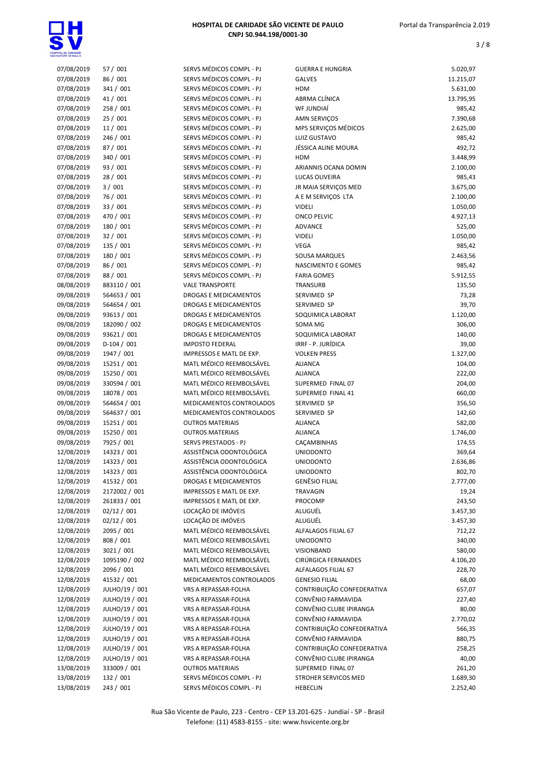

| 07/08/2019 | 57 / 001       | SERVS MÉDICOS COMPL - PJ | <b>GUERRA E HUNGRIA</b>    | 5.020,97  |
|------------|----------------|--------------------------|----------------------------|-----------|
| 07/08/2019 | 86 / 001       | SERVS MÉDICOS COMPL - PJ | <b>GALVES</b>              | 11.215,07 |
| 07/08/2019 | 341 / 001      | SERVS MÉDICOS COMPL - PJ | <b>HDM</b>                 | 5.631,00  |
| 07/08/2019 | 41 / 001       | SERVS MÉDICOS COMPL - PJ | ABRMA CLÍNICA              | 13.795,95 |
| 07/08/2019 | 258 / 001      | SERVS MÉDICOS COMPL - PJ | WF JUNDIAÍ                 | 985,42    |
| 07/08/2019 | 25 / 001       | SERVS MÉDICOS COMPL - PJ | <b>AMN SERVIÇOS</b>        | 7.390,68  |
| 07/08/2019 | 11/001         | SERVS MÉDICOS COMPL - PJ | MPS SERVIÇOS MÉDICOS       | 2.625,00  |
| 07/08/2019 | 246 / 001      | SERVS MÉDICOS COMPL - PJ | LUIZ GUSTAVO               | 985,42    |
| 07/08/2019 | 87 / 001       | SERVS MÉDICOS COMPL - PJ | JÉSSICA ALINE MOURA        | 492,72    |
| 07/08/2019 | 340 / 001      | SERVS MÉDICOS COMPL - PJ | <b>HDM</b>                 | 3.448,99  |
| 07/08/2019 | 93 / 001       | SERVS MÉDICOS COMPL - PJ | ARIANNIS OCANA DOMIN       | 2.100,00  |
| 07/08/2019 | 28 / 001       | SERVS MÉDICOS COMPL - PJ | LUCAS OLIVEIRA             | 985,43    |
| 07/08/2019 | 3/001          | SERVS MÉDICOS COMPL - PJ | JR MAIA SERVIÇOS MED       | 3.675,00  |
| 07/08/2019 | 76 / 001       | SERVS MÉDICOS COMPL - PJ |                            | 2.100,00  |
| 07/08/2019 |                |                          | A E M SERVIÇOS LTA         |           |
|            | 33 / 001       | SERVS MÉDICOS COMPL - PJ | <b>VIDELI</b>              | 1.050,00  |
| 07/08/2019 | 470 / 001      | SERVS MÉDICOS COMPL - PJ | <b>ONCO PELVIC</b>         | 4.927,13  |
| 07/08/2019 | 180 / 001      | SERVS MÉDICOS COMPL - PJ | <b>ADVANCE</b>             | 525,00    |
| 07/08/2019 | 32/001         | SERVS MÉDICOS COMPL - PJ | <b>VIDELI</b>              | 1.050,00  |
| 07/08/2019 | 135 / 001      | SERVS MÉDICOS COMPL - PJ | VEGA                       | 985,42    |
| 07/08/2019 | 180 / 001      | SERVS MÉDICOS COMPL - PJ | SOUSA MARQUES              | 2.463,56  |
| 07/08/2019 | 86 / 001       | SERVS MÉDICOS COMPL - PJ | NASCIMENTO E GOMES         | 985,42    |
| 07/08/2019 | 88 / 001       | SERVS MÉDICOS COMPL - PJ | <b>FARIA GOMES</b>         | 5.912,55  |
| 08/08/2019 | 883110 / 001   | <b>VALE TRANSPORTE</b>   | TRANSURB                   | 135,50    |
| 09/08/2019 | 564653 / 001   | DROGAS E MEDICAMENTOS    | SERVIMED SP                | 73,28     |
| 09/08/2019 | 564654 / 001   | DROGAS E MEDICAMENTOS    | SERVIMED SP                | 39,70     |
| 09/08/2019 | 93613 / 001    | DROGAS E MEDICAMENTOS    | SOQUIMICA LABORAT          | 1.120,00  |
| 09/08/2019 | 182090 / 002   | DROGAS E MEDICAMENTOS    | SOMA MG                    | 306,00    |
| 09/08/2019 | 93621 / 001    | DROGAS E MEDICAMENTOS    | SOQUIMICA LABORAT          | 140,00    |
| 09/08/2019 | $D-104 / 001$  | <b>IMPOSTO FEDERAL</b>   | IRRF - P. JURÍDICA         | 39,00     |
| 09/08/2019 | 1947 / 001     | IMPRESSOS E MATL DE EXP. | <b>VOLKEN PRESS</b>        | 1.327,00  |
| 09/08/2019 | 15251 / 001    | MATL MÉDICO REEMBOLSÁVEL | <b>ALIANCA</b>             | 104,00    |
| 09/08/2019 | 15250 / 001    | MATL MÉDICO REEMBOLSÁVEL | <b>ALIANCA</b>             | 222,00    |
| 09/08/2019 | 330594 / 001   | MATL MÉDICO REEMBOLSÁVEL | SUPERMED FINAL 07          | 204,00    |
| 09/08/2019 | 18078 / 001    | MATL MÉDICO REEMBOLSÁVEL | SUPERMED FINAL 41          | 660,00    |
| 09/08/2019 | 564654 / 001   | MEDICAMENTOS CONTROLADOS | SERVIMED SP                | 356,50    |
|            |                |                          |                            |           |
| 09/08/2019 | 564637 / 001   | MEDICAMENTOS CONTROLADOS | SERVIMED SP                | 142,60    |
| 09/08/2019 | 15251 / 001    | <b>OUTROS MATERIAIS</b>  | <b>ALIANCA</b>             | 582,00    |
| 09/08/2019 | 15250 / 001    | <b>OUTROS MATERIAIS</b>  | <b>ALIANCA</b>             | 1.746,00  |
| 09/08/2019 | 7925 / 001     | SERVS PRESTADOS - PJ     | CAÇAMBINHAS                | 174,55    |
| 12/08/2019 | 14323 / 001    | ASSISTÊNCIA ODONTOLÓGICA | <b>UNIODONTO</b>           | 369,64    |
| 12/08/2019 | 14323 / 001    | ASSISTÊNCIA ODONTOLÓGICA | <b>UNIODONTO</b>           | 2.636,86  |
| 12/08/2019 | 14323 / 001    | ASSISTÊNCIA ODONTOLÓGICA | <b>UNIODONTO</b>           | 802,70    |
| 12/08/2019 | 41532 / 001    | DROGAS E MEDICAMENTOS    | GENÊSIO FILIAL             | 2.777,00  |
| 12/08/2019 | 2172002 / 001  | IMPRESSOS E MATL DE EXP. | TRAVAGIN                   | 19,24     |
| 12/08/2019 | 261833 / 001   | IMPRESSOS E MATL DE EXP. | PROCOMP                    | 243,50    |
| 12/08/2019 | 02/12 / 001    | LOCAÇÃO DE IMÓVEIS       | ALUGUÉL                    | 3.457,30  |
| 12/08/2019 | 02/12 / 001    | LOCAÇÃO DE IMÓVEIS       | ALUGUÉL                    | 3.457,30  |
| 12/08/2019 | 2095 / 001     | MATL MÉDICO REEMBOLSÁVEL | ALFALAGOS FILIAL 67        | 712,22    |
| 12/08/2019 | 808 / 001      | MATL MÉDICO REEMBOLSÁVEL | <b>UNIODONTO</b>           | 340,00    |
| 12/08/2019 | 3021 / 001     | MATL MÉDICO REEMBOLSÁVEL | VISIONBAND                 | 580,00    |
| 12/08/2019 | 1095190 / 002  | MATL MÉDICO REEMBOLSÁVEL | CIRÚRGICA FERNANDES        | 4.106,20  |
| 12/08/2019 | 2096 / 001     | MATL MÉDICO REEMBOLSÁVEL | ALFALAGOS FILIAL 67        | 228,70    |
| 12/08/2019 | 41532 / 001    | MEDICAMENTOS CONTROLADOS | <b>GENESIO FILIAL</b>      | 68,00     |
| 12/08/2019 | JULHO/19 / 001 | VRS A REPASSAR-FOLHA     | CONTRIBUIÇÃO CONFEDERATIVA | 657,07    |
|            |                |                          |                            |           |
| 12/08/2019 | JULHO/19 / 001 | VRS A REPASSAR-FOLHA     | CONVÊNIO FARMAVIDA         | 227,40    |
| 12/08/2019 | JULHO/19 / 001 | VRS A REPASSAR-FOLHA     | CONVÊNIO CLUBE IPIRANGA    | 80,00     |
| 12/08/2019 | JULHO/19 / 001 | VRS A REPASSAR-FOLHA     | CONVÊNIO FARMAVIDA         | 2.770,02  |
| 12/08/2019 | JULHO/19 / 001 | VRS A REPASSAR-FOLHA     | CONTRIBUIÇÃO CONFEDERATIVA | 566,35    |
| 12/08/2019 | JULHO/19 / 001 | VRS A REPASSAR-FOLHA     | CONVÊNIO FARMAVIDA         | 880,75    |
| 12/08/2019 | JULHO/19 / 001 | VRS A REPASSAR-FOLHA     | CONTRIBUIÇÃO CONFEDERATIVA | 258,25    |
| 12/08/2019 | JULHO/19 / 001 | VRS A REPASSAR-FOLHA     | CONVÊNIO CLUBE IPIRANGA    | 40,00     |
| 13/08/2019 | 333009 / 001   | <b>OUTROS MATERIAIS</b>  | SUPERMED FINAL 07          | 261,20    |
| 13/08/2019 | 132 / 001      | SERVS MÉDICOS COMPL - PJ | STROHER SERVICOS MED       | 1.689,30  |
| 13/08/2019 | 243 / 001      | SERVS MÉDICOS COMPL - PJ | <b>HEBECLIN</b>            | 2.252,40  |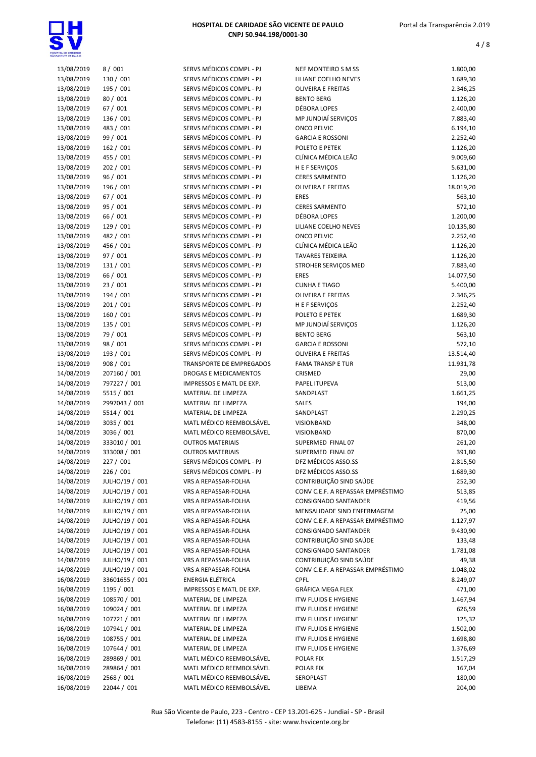

| 13/08/2019               | 8/001                      | SERVS MÉDICOS COMPL - PJ                            | NEF MONTEIRO S M SS               | 1.800,00           |
|--------------------------|----------------------------|-----------------------------------------------------|-----------------------------------|--------------------|
| 13/08/2019               | 130 / 001                  | SERVS MÉDICOS COMPL - PJ                            | LILIANE COELHO NEVES              | 1.689,30           |
| 13/08/2019               | 195 / 001                  | SERVS MÉDICOS COMPL - PJ                            | <b>OLIVEIRA E FREITAS</b>         | 2.346,25           |
| 13/08/2019               | 80 / 001                   | SERVS MÉDICOS COMPL - PJ                            | <b>BENTO BERG</b>                 | 1.126,20           |
| 13/08/2019               | 67 / 001                   | SERVS MÉDICOS COMPL - PJ                            | DÉBORA LOPES                      | 2.400,00           |
| 13/08/2019               | 136 / 001                  | SERVS MÉDICOS COMPL - PJ                            | MP JUNDIAÍ SERVIÇOS               | 7.883,40           |
| 13/08/2019               | 483 / 001                  | SERVS MÉDICOS COMPL - PJ                            | <b>ONCO PELVIC</b>                | 6.194,10           |
| 13/08/2019               | 99 / 001                   | SERVS MÉDICOS COMPL - PJ                            | <b>GARCIA E ROSSONI</b>           | 2.252,40           |
| 13/08/2019               | 162 / 001                  | SERVS MÉDICOS COMPL - PJ                            | POLETO E PETEK                    | 1.126,20           |
| 13/08/2019               | 455 / 001                  | SERVS MÉDICOS COMPL - PJ                            | CLÍNICA MÉDICA LEÃO               | 9.009,60           |
| 13/08/2019               | 202 / 001                  | SERVS MÉDICOS COMPL - PJ                            | H E F SERVIÇOS                    | 5.631,00           |
| 13/08/2019               | 96 / 001                   | SERVS MÉDICOS COMPL - PJ                            | <b>CERES SARMENTO</b>             | 1.126,20           |
| 13/08/2019               | 196 / 001                  | SERVS MÉDICOS COMPL - PJ                            | <b>OLIVEIRA E FREITAS</b>         | 18.019,20          |
| 13/08/2019               | 67 / 001                   | SERVS MÉDICOS COMPL - PJ                            | <b>ERES</b>                       | 563,10             |
| 13/08/2019               | 95 / 001                   | SERVS MÉDICOS COMPL - PJ                            | <b>CERES SARMENTO</b>             | 572,10             |
| 13/08/2019               | 66 / 001                   | SERVS MÉDICOS COMPL - PJ                            | DÉBORA LOPES                      | 1.200,00           |
| 13/08/2019               | 129 / 001                  | SERVS MÉDICOS COMPL - PJ                            | LILIANE COELHO NEVES              | 10.135,80          |
| 13/08/2019               | 482 / 001                  | SERVS MÉDICOS COMPL - PJ                            | <b>ONCO PELVIC</b>                | 2.252,40           |
| 13/08/2019               | 456 / 001                  | SERVS MÉDICOS COMPL - PJ                            | CLÍNICA MÉDICA LEÃO               | 1.126,20           |
| 13/08/2019               | 97 / 001                   | SERVS MÉDICOS COMPL - PJ                            | <b>TAVARES TEIXEIRA</b>           | 1.126,20           |
| 13/08/2019               | 131 / 001                  | SERVS MÉDICOS COMPL - PJ                            | STROHER SERVIÇOS MED              | 7.883,40           |
| 13/08/2019               | 66 / 001                   | SERVS MÉDICOS COMPL - PJ                            | <b>ERES</b>                       | 14.077,50          |
| 13/08/2019               | 23/001                     | SERVS MÉDICOS COMPL - PJ                            | <b>CUNHA E TIAGO</b>              | 5.400,00           |
| 13/08/2019               | 194 / 001                  | SERVS MÉDICOS COMPL - PJ                            | OLIVEIRA E FREITAS                | 2.346,25           |
| 13/08/2019               | 201 / 001                  | SERVS MÉDICOS COMPL - PJ                            | H E F SERVIÇOS                    | 2.252,40           |
| 13/08/2019               | 160 / 001                  | SERVS MÉDICOS COMPL - PJ                            | POLETO E PETEK                    | 1.689,30           |
| 13/08/2019               | 135 / 001                  | SERVS MÉDICOS COMPL - PJ                            | MP JUNDIAÍ SERVIÇOS               | 1.126,20           |
| 13/08/2019               | 79 / 001                   | SERVS MÉDICOS COMPL - PJ                            | <b>BENTO BERG</b>                 | 563,10             |
| 13/08/2019               | 98 / 001                   | SERVS MÉDICOS COMPL - PJ                            | <b>GARCIA E ROSSONI</b>           | 572,10             |
| 13/08/2019               | 193 / 001                  | SERVS MÉDICOS COMPL - PJ                            | <b>OLIVEIRA E FREITAS</b>         | 13.514,40          |
| 13/08/2019               | 908 / 001                  | <b>TRANSPORTE DE EMPREGADOS</b>                     | <b>FAMA TRANSP E TUR</b>          | 11.931,78          |
| 14/08/2019               | 207160 / 001               | DROGAS E MEDICAMENTOS                               | CRISMED                           | 29,00              |
| 14/08/2019               | 797227 / 001               | IMPRESSOS E MATL DE EXP.                            | PAPEL ITUPEVA                     | 513,00             |
| 14/08/2019               | 5515 / 001                 | MATERIAL DE LIMPEZA                                 | SANDPLAST                         | 1.661,25           |
| 14/08/2019               | 2997043 / 001              | MATERIAL DE LIMPEZA                                 | SALES                             | 194,00             |
| 14/08/2019               | 5514 / 001                 | MATERIAL DE LIMPEZA                                 | SANDPLAST                         | 2.290,25           |
| 14/08/2019               | 3035 / 001                 | MATL MÉDICO REEMBOLSÁVEL                            | <b>VISIONBAND</b>                 | 348,00             |
| 14/08/2019<br>14/08/2019 | 3036 / 001<br>333010 / 001 | MATL MÉDICO REEMBOLSÁVEL<br><b>OUTROS MATERIAIS</b> | VISIONBAND<br>SUPERMED FINAL 07   | 870,00<br>261,20   |
| 14/08/2019               | 333008 / 001               | <b>OUTROS MATERIAIS</b>                             | SUPERMED FINAL 07                 |                    |
| 14/08/2019               | 227 / 001                  | SERVS MÉDICOS COMPL - PJ                            | DFZ MÉDICOS ASSO.SS               | 391,80<br>2.815,50 |
|                          | 226 / 001                  | SERVS MÉDICOS COMPL - PJ                            | DFZ MÉDICOS ASSO.SS               |                    |
| 14/08/2019<br>14/08/2019 | JULHO/19 / 001             | VRS A REPASSAR-FOLHA                                | CONTRIBUIÇÃO SIND SAÚDE           | 1.689,30<br>252,30 |
| 14/08/2019               | JULHO/19 / 001             | VRS A REPASSAR-FOLHA                                | CONV C.E.F. A REPASSAR EMPRÉSTIMO | 513,85             |
| 14/08/2019               | JULHO/19 / 001             | VRS A REPASSAR-FOLHA                                | CONSIGNADO SANTANDER              | 419,56             |
| 14/08/2019               | JULHO/19 / 001             | VRS A REPASSAR-FOLHA                                | MENSALIDADE SIND ENFERMAGEM       | 25,00              |
| 14/08/2019               | JULHO/19 / 001             | VRS A REPASSAR-FOLHA                                | CONV C.E.F. A REPASSAR EMPRÉSTIMO | 1.127,97           |
| 14/08/2019               | JULHO/19 / 001             | VRS A REPASSAR-FOLHA                                | CONSIGNADO SANTANDER              | 9.430,90           |
| 14/08/2019               | JULHO/19 / 001             | VRS A REPASSAR-FOLHA                                | CONTRIBUIÇÃO SIND SAÚDE           | 133,48             |
| 14/08/2019               | JULHO/19 / 001             | VRS A REPASSAR-FOLHA                                | CONSIGNADO SANTANDER              | 1.781,08           |
| 14/08/2019               | JULHO/19 / 001             | VRS A REPASSAR-FOLHA                                | CONTRIBUIÇÃO SIND SAÚDE           | 49,38              |
| 14/08/2019               | JULHO/19 / 001             | VRS A REPASSAR-FOLHA                                | CONV C.E.F. A REPASSAR EMPRÉSTIMO | 1.048,02           |
| 16/08/2019               | 33601655 / 001             | ENERGIA ELÉTRICA                                    | <b>CPFL</b>                       | 8.249,07           |
| 16/08/2019               | 1195 / 001                 | IMPRESSOS E MATL DE EXP.                            | GRÁFICA MEGA FLEX                 | 471,00             |
| 16/08/2019               | 108570 / 001               | MATERIAL DE LIMPEZA                                 | <b>ITW FLUIDS E HYGIENE</b>       | 1.467,94           |
| 16/08/2019               | 109024 / 001               | MATERIAL DE LIMPEZA                                 | <b>ITW FLUIDS E HYGIENE</b>       | 626,59             |
| 16/08/2019               | 107721 / 001               | MATERIAL DE LIMPEZA                                 | <b>ITW FLUIDS E HYGIENE</b>       | 125,32             |
| 16/08/2019               | 107941 / 001               | MATERIAL DE LIMPEZA                                 | <b>ITW FLUIDS E HYGIENE</b>       | 1.502,00           |
| 16/08/2019               | 108755 / 001               | MATERIAL DE LIMPEZA                                 | <b>ITW FLUIDS E HYGIENE</b>       | 1.698,80           |
| 16/08/2019               | 107644 / 001               | MATERIAL DE LIMPEZA                                 | <b>ITW FLUIDS E HYGIENE</b>       | 1.376,69           |
| 16/08/2019               | 289869 / 001               | MATL MÉDICO REEMBOLSÁVEL                            | POLAR FIX                         | 1.517,29           |
| 16/08/2019               | 289864 / 001               | MATL MÉDICO REEMBOLSÁVEL                            | POLAR FIX                         | 167,04             |
| 16/08/2019               | 2568 / 001                 | MATL MÉDICO REEMBOLSÁVEL                            | SEROPLAST                         | 180,00             |
| 16/08/2019               | 22044 / 001                | MATL MÉDICO REEMBOLSÁVEL                            | LIBEMA                            | 204,00             |
|                          |                            |                                                     |                                   |                    |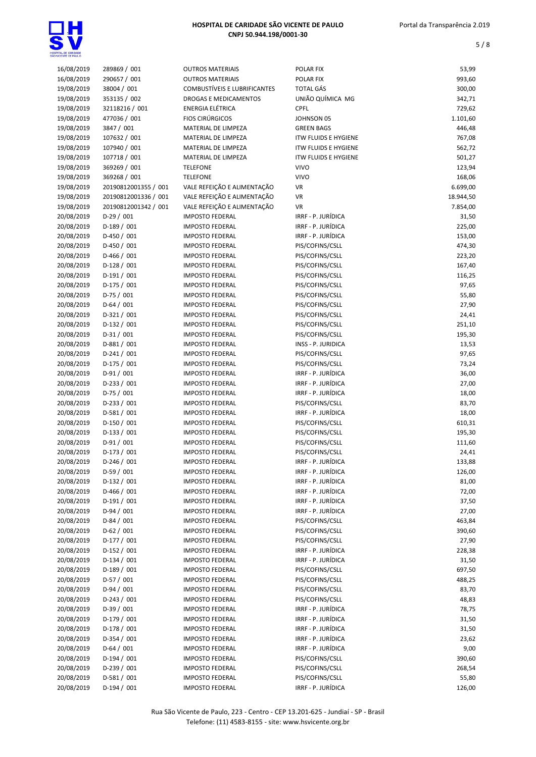

| 16/08/2019 | 289869 / 001         | <b>OUTROS MATERIAIS</b>      | POLAR FIX                   | 53,99     |
|------------|----------------------|------------------------------|-----------------------------|-----------|
| 16/08/2019 | 290657 / 001         | <b>OUTROS MATERIAIS</b>      | POLAR FIX                   | 993,60    |
| 19/08/2019 | 38004 / 001          | COMBUSTÍVEIS E LUBRIFICANTES | <b>TOTAL GÁS</b>            | 300,00    |
| 19/08/2019 | 353135 / 002         | DROGAS E MEDICAMENTOS        | UNIÃO QUÍMICA MG            | 342,71    |
| 19/08/2019 | 32118216 / 001       | <b>ENERGIA ELÉTRICA</b>      | <b>CPFL</b>                 | 729,62    |
| 19/08/2019 | 477036 / 001         | <b>FIOS CIRÚRGICOS</b>       | JOHNSON 05                  | 1.101,60  |
| 19/08/2019 | 3847 / 001           | MATERIAL DE LIMPEZA          | <b>GREEN BAGS</b>           | 446,48    |
| 19/08/2019 | 107632 / 001         | MATERIAL DE LIMPEZA          | <b>ITW FLUIDS E HYGIENE</b> | 767,08    |
| 19/08/2019 | 107940 / 001         | MATERIAL DE LIMPEZA          | <b>ITW FLUIDS E HYGIENE</b> | 562,72    |
| 19/08/2019 | 107718 / 001         | MATERIAL DE LIMPEZA          | <b>ITW FLUIDS E HYGIENE</b> | 501,27    |
| 19/08/2019 | 369269 / 001         | <b>TELEFONE</b>              | <b>VIVO</b>                 | 123,94    |
| 19/08/2019 | 369268 / 001         | <b>TELEFONE</b>              | <b>VIVO</b>                 | 168,06    |
| 19/08/2019 | 20190812001355 / 001 | VALE REFEIÇÃO E ALIMENTAÇÃO  | <b>VR</b>                   | 6.699,00  |
| 19/08/2019 | 20190812001336 / 001 | VALE REFEIÇÃO E ALIMENTAÇÃO  | <b>VR</b>                   | 18.944,50 |
| 19/08/2019 | 20190812001342 / 001 | VALE REFEIÇÃO E ALIMENTAÇÃO  | <b>VR</b>                   | 7.854,00  |
| 20/08/2019 | $D-29/001$           | <b>IMPOSTO FEDERAL</b>       | IRRF - P. JURÍDICA          | 31,50     |
|            |                      | <b>IMPOSTO FEDERAL</b>       | IRRF - P. JURÍDICA          | 225,00    |
| 20/08/2019 | $D-189/001$          |                              |                             |           |
| 20/08/2019 | $D-450 / 001$        | <b>IMPOSTO FEDERAL</b>       | IRRF - P. JURÍDICA          | 153,00    |
| 20/08/2019 | $D-450 / 001$        | <b>IMPOSTO FEDERAL</b>       | PIS/COFINS/CSLL             | 474,30    |
| 20/08/2019 | $D-466 / 001$        | <b>IMPOSTO FEDERAL</b>       | PIS/COFINS/CSLL             | 223,20    |
| 20/08/2019 | $D-128/001$          | <b>IMPOSTO FEDERAL</b>       | PIS/COFINS/CSLL             | 167,40    |
| 20/08/2019 | $D-191/001$          | <b>IMPOSTO FEDERAL</b>       | PIS/COFINS/CSLL             | 116,25    |
| 20/08/2019 | D-175 / 001          | <b>IMPOSTO FEDERAL</b>       | PIS/COFINS/CSLL             | 97,65     |
| 20/08/2019 | $D-75/001$           | <b>IMPOSTO FEDERAL</b>       | PIS/COFINS/CSLL             | 55,80     |
| 20/08/2019 | $D-64/001$           | <b>IMPOSTO FEDERAL</b>       | PIS/COFINS/CSLL             | 27,90     |
| 20/08/2019 | $D-321/001$          | <b>IMPOSTO FEDERAL</b>       | PIS/COFINS/CSLL             | 24,41     |
| 20/08/2019 | $D-132 / 001$        | <b>IMPOSTO FEDERAL</b>       | PIS/COFINS/CSLL             | 251,10    |
| 20/08/2019 | $D-31/001$           | <b>IMPOSTO FEDERAL</b>       | PIS/COFINS/CSLL             | 195,30    |
| 20/08/2019 | $D-881/001$          | <b>IMPOSTO FEDERAL</b>       | INSS - P. JURIDICA          | 13,53     |
| 20/08/2019 | $D-241/001$          | <b>IMPOSTO FEDERAL</b>       | PIS/COFINS/CSLL             | 97,65     |
| 20/08/2019 | D-175 / 001          | <b>IMPOSTO FEDERAL</b>       | PIS/COFINS/CSLL             | 73,24     |
| 20/08/2019 | $D-91/001$           | <b>IMPOSTO FEDERAL</b>       | IRRF - P. JURÍDICA          | 36,00     |
| 20/08/2019 | $D-233 / 001$        | <b>IMPOSTO FEDERAL</b>       | IRRF - P. JURÍDICA          | 27,00     |
| 20/08/2019 | $D-75/001$           | <b>IMPOSTO FEDERAL</b>       | IRRF - P. JURÍDICA          | 18,00     |
| 20/08/2019 | D-233 / 001          | <b>IMPOSTO FEDERAL</b>       | PIS/COFINS/CSLL             | 83,70     |
| 20/08/2019 | D-581 / 001          | <b>IMPOSTO FEDERAL</b>       | IRRF - P. JURÍDICA          | 18,00     |
| 20/08/2019 | $D-150/001$          | <b>IMPOSTO FEDERAL</b>       | PIS/COFINS/CSLL             | 610,31    |
| 20/08/2019 | $D-133 / 001$        | <b>IMPOSTO FEDERAL</b>       | PIS/COFINS/CSLL             | 195,30    |
| 20/08/2019 | $D-91/001$           | <b>IMPOSTO FEDERAL</b>       | PIS/COFINS/CSLL             | 111,60    |
| 20/08/2019 | $D-173/001$          | <b>IMPOSTO FEDERAL</b>       | PIS/COFINS/CSLL             | 24,41     |
| 20/08/2019 | $D-246/001$          | <b>IMPOSTO FEDERAL</b>       | IRRF - P. JURÍDICA          | 133,88    |
| 20/08/2019 | $D-59/001$           | <b>IMPOSTO FEDERAL</b>       | IRRF - P. JURÍDICA          | 126,00    |
| 20/08/2019 | $D-132/001$          | <b>IMPOSTO FEDERAL</b>       | IRRF - P. JURÍDICA          | 81,00     |
| 20/08/2019 | D-466 / 001          | <b>IMPOSTO FEDERAL</b>       | IRRF - P. JURÍDICA          | 72,00     |
| 20/08/2019 | $D-191/001$          | <b>IMPOSTO FEDERAL</b>       | IRRF - P. JURÍDICA          | 37,50     |
| 20/08/2019 | $D-94/001$           | <b>IMPOSTO FEDERAL</b>       | IRRF - P. JURÍDICA          | 27,00     |
| 20/08/2019 | $D-84/001$           | <b>IMPOSTO FEDERAL</b>       | PIS/COFINS/CSLL             | 463,84    |
| 20/08/2019 | $D-62/001$           | <b>IMPOSTO FEDERAL</b>       | PIS/COFINS/CSLL             | 390,60    |
| 20/08/2019 | $D-177/001$          | <b>IMPOSTO FEDERAL</b>       | PIS/COFINS/CSLL             | 27,90     |
| 20/08/2019 | $D-152 / 001$        | <b>IMPOSTO FEDERAL</b>       | IRRF - P. JURÍDICA          | 228,38    |
| 20/08/2019 | $D-134/001$          | <b>IMPOSTO FEDERAL</b>       | IRRF - P. JURÍDICA          | 31,50     |
| 20/08/2019 | $D-189/001$          | <b>IMPOSTO FEDERAL</b>       | PIS/COFINS/CSLL             | 697,50    |
| 20/08/2019 | $D-57/001$           | <b>IMPOSTO FEDERAL</b>       | PIS/COFINS/CSLL             | 488,25    |
| 20/08/2019 | $D-94/001$           | <b>IMPOSTO FEDERAL</b>       | PIS/COFINS/CSLL             | 83,70     |
| 20/08/2019 | $D-243 / 001$        | <b>IMPOSTO FEDERAL</b>       | PIS/COFINS/CSLL             | 48,83     |
| 20/08/2019 | $D-39/001$           | <b>IMPOSTO FEDERAL</b>       | IRRF - P. JURÍDICA          | 78,75     |
| 20/08/2019 | D-179 / 001          | <b>IMPOSTO FEDERAL</b>       | IRRF - P. JURÍDICA          | 31,50     |
| 20/08/2019 | D-178 / 001          | <b>IMPOSTO FEDERAL</b>       | IRRF - P. JURÍDICA          | 31,50     |
| 20/08/2019 | $D-354/001$          | <b>IMPOSTO FEDERAL</b>       | IRRF - P. JURÍDICA          | 23,62     |
| 20/08/2019 | $D-64/001$           | <b>IMPOSTO FEDERAL</b>       | IRRF - P. JURÍDICA          | 9,00      |
| 20/08/2019 | $D-194/001$          | <b>IMPOSTO FEDERAL</b>       | PIS/COFINS/CSLL             | 390,60    |
| 20/08/2019 | $D-239/001$          | <b>IMPOSTO FEDERAL</b>       | PIS/COFINS/CSLL             | 268,54    |
| 20/08/2019 | $D-581/001$          | <b>IMPOSTO FEDERAL</b>       | PIS/COFINS/CSLL             | 55,80     |
| 20/08/2019 | $D-194/001$          | <b>IMPOSTO FEDERAL</b>       | IRRF - P. JURÍDICA          | 126,00    |
|            |                      |                              |                             |           |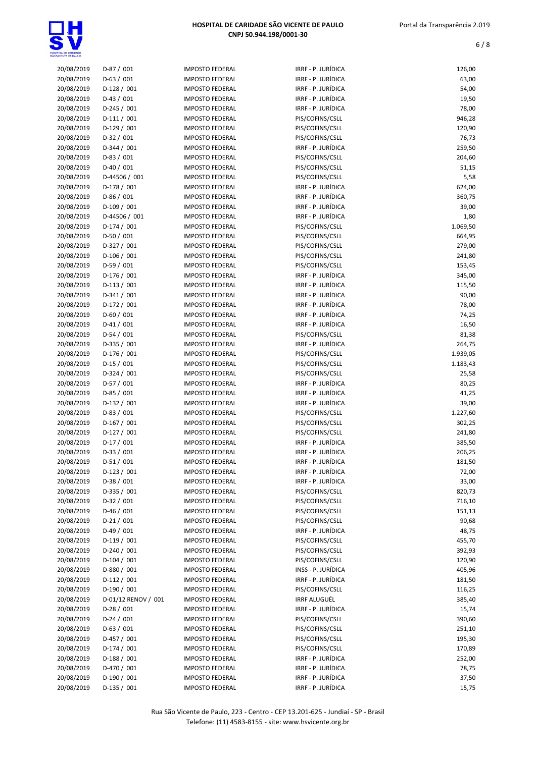

| 20/08/2019 | $D-87/001$          | <b>IMPOSTO FEDERAL</b> | IRRF - P. JURÍDICA | 126,00   |
|------------|---------------------|------------------------|--------------------|----------|
| 20/08/2019 | $D-63/001$          | <b>IMPOSTO FEDERAL</b> | IRRF - P. JURÍDICA | 63,00    |
| 20/08/2019 | $D-128/001$         | <b>IMPOSTO FEDERAL</b> | IRRF - P. JURÍDICA | 54,00    |
| 20/08/2019 | $D-43 / 001$        | <b>IMPOSTO FEDERAL</b> | IRRF - P. JURÍDICA | 19,50    |
| 20/08/2019 | $D-245 / 001$       | <b>IMPOSTO FEDERAL</b> | IRRF - P. JURÍDICA | 78,00    |
| 20/08/2019 | $D-111/001$         | <b>IMPOSTO FEDERAL</b> | PIS/COFINS/CSLL    | 946,28   |
| 20/08/2019 | $D-129/001$         | <b>IMPOSTO FEDERAL</b> | PIS/COFINS/CSLL    | 120,90   |
| 20/08/2019 | $D-32/001$          | <b>IMPOSTO FEDERAL</b> | PIS/COFINS/CSLL    | 76,73    |
| 20/08/2019 | $D-344 / 001$       | <b>IMPOSTO FEDERAL</b> | IRRF - P. JURÍDICA | 259,50   |
|            |                     |                        |                    |          |
| 20/08/2019 | $D-83/001$          | <b>IMPOSTO FEDERAL</b> | PIS/COFINS/CSLL    | 204,60   |
| 20/08/2019 | $D-40/001$          | <b>IMPOSTO FEDERAL</b> | PIS/COFINS/CSLL    | 51,15    |
| 20/08/2019 | D-44506 / 001       | <b>IMPOSTO FEDERAL</b> | PIS/COFINS/CSLL    | 5,58     |
| 20/08/2019 | $D-178/001$         | <b>IMPOSTO FEDERAL</b> | IRRF - P. JURÍDICA | 624,00   |
| 20/08/2019 | D-86 / 001          | <b>IMPOSTO FEDERAL</b> | IRRF - P. JURÍDICA | 360,75   |
| 20/08/2019 | $D-109/001$         | <b>IMPOSTO FEDERAL</b> | IRRF - P. JURÍDICA | 39,00    |
| 20/08/2019 | D-44506 / 001       | <b>IMPOSTO FEDERAL</b> | IRRF - P. JURÍDICA | 1,80     |
| 20/08/2019 | $D-174/001$         | <b>IMPOSTO FEDERAL</b> | PIS/COFINS/CSLL    | 1.069,50 |
| 20/08/2019 | $D-50/001$          | <b>IMPOSTO FEDERAL</b> | PIS/COFINS/CSLL    | 664,95   |
| 20/08/2019 | $D-327/001$         | <b>IMPOSTO FEDERAL</b> | PIS/COFINS/CSLL    | 279,00   |
|            | $D-106 / 001$       | <b>IMPOSTO FEDERAL</b> | PIS/COFINS/CSLL    |          |
| 20/08/2019 |                     |                        |                    | 241,80   |
| 20/08/2019 | $D-59/001$          | <b>IMPOSTO FEDERAL</b> | PIS/COFINS/CSLL    | 153,45   |
| 20/08/2019 | D-176 / 001         | <b>IMPOSTO FEDERAL</b> | IRRF - P. JURÍDICA | 345,00   |
| 20/08/2019 | $D-113/001$         | <b>IMPOSTO FEDERAL</b> | IRRF - P. JURÍDICA | 115,50   |
| 20/08/2019 | $D-341/001$         | <b>IMPOSTO FEDERAL</b> | IRRF - P. JURÍDICA | 90,00    |
| 20/08/2019 | $D-172 / 001$       | <b>IMPOSTO FEDERAL</b> | IRRF - P. JURÍDICA | 78,00    |
| 20/08/2019 | $D-60/001$          | <b>IMPOSTO FEDERAL</b> | IRRF - P. JURÍDICA | 74,25    |
| 20/08/2019 | $D-41/001$          | <b>IMPOSTO FEDERAL</b> | IRRF - P. JURÍDICA | 16,50    |
| 20/08/2019 | $D-54/001$          | <b>IMPOSTO FEDERAL</b> | PIS/COFINS/CSLL    | 81,38    |
| 20/08/2019 | $D-335 / 001$       | <b>IMPOSTO FEDERAL</b> | IRRF - P. JURÍDICA | 264,75   |
| 20/08/2019 | D-176 / 001         | <b>IMPOSTO FEDERAL</b> | PIS/COFINS/CSLL    | 1.939,05 |
|            |                     |                        |                    |          |
| 20/08/2019 | $D-15/001$          | <b>IMPOSTO FEDERAL</b> | PIS/COFINS/CSLL    | 1.183,43 |
| 20/08/2019 | $D-324 / 001$       | <b>IMPOSTO FEDERAL</b> | PIS/COFINS/CSLL    | 25,58    |
| 20/08/2019 | D-57 / 001          | <b>IMPOSTO FEDERAL</b> | IRRF - P. JURÍDICA | 80,25    |
| 20/08/2019 | $D-85/001$          | <b>IMPOSTO FEDERAL</b> | IRRF - P. JURÍDICA | 41,25    |
| 20/08/2019 | $D-132/001$         | <b>IMPOSTO FEDERAL</b> | IRRF - P. JURÍDICA | 39,00    |
| 20/08/2019 | D-83 / 001          | <b>IMPOSTO FEDERAL</b> | PIS/COFINS/CSLL    | 1.227,60 |
| 20/08/2019 | $D-167/001$         | <b>IMPOSTO FEDERAL</b> | PIS/COFINS/CSLL    | 302,25   |
| 20/08/2019 | $D-127/001$         | <b>IMPOSTO FEDERAL</b> | PIS/COFINS/CSLL    | 241,80   |
| 20/08/2019 | $D-17/001$          | <b>IMPOSTO FEDERAL</b> | IRRF - P. JURÍDICA | 385,50   |
| 20/08/2019 | $D-33 / 001$        | <b>IMPOSTO FEDERAL</b> | IRRF - P. JURÍDICA | 206,25   |
| 20/08/2019 | $D-51/001$          | <b>IMPOSTO FEDERAL</b> | IRRF - P. JURÍDICA | 181,50   |
|            | $D-123/001$         |                        | IRRF - P. JURÍDICA |          |
| 20/08/2019 |                     | <b>IMPOSTO FEDERAL</b> |                    | 72,00    |
| 20/08/2019 | D-38 / 001          | <b>IMPOSTO FEDERAL</b> | IRRF - P. JURÍDICA | 33,00    |
| 20/08/2019 | D-335 / 001         | <b>IMPOSTO FEDERAL</b> | PIS/COFINS/CSLL    | 820,73   |
| 20/08/2019 | $D-32/001$          | <b>IMPOSTO FEDERAL</b> | PIS/COFINS/CSLL    | 716,10   |
| 20/08/2019 | $D-46/001$          | <b>IMPOSTO FEDERAL</b> | PIS/COFINS/CSLL    | 151,13   |
| 20/08/2019 | $D-21/001$          | <b>IMPOSTO FEDERAL</b> | PIS/COFINS/CSLL    | 90,68    |
| 20/08/2019 | $D-49/001$          | <b>IMPOSTO FEDERAL</b> | IRRF - P. JURÍDICA | 48,75    |
| 20/08/2019 | $D-119/001$         | <b>IMPOSTO FEDERAL</b> | PIS/COFINS/CSLL    | 455,70   |
| 20/08/2019 | D-240 / 001         | <b>IMPOSTO FEDERAL</b> | PIS/COFINS/CSLL    | 392,93   |
| 20/08/2019 | $D-104 / 001$       | <b>IMPOSTO FEDERAL</b> | PIS/COFINS/CSLL    | 120,90   |
| 20/08/2019 | D-880 / 001         | <b>IMPOSTO FEDERAL</b> | INSS - P. JURÍDICA | 405,96   |
| 20/08/2019 | $D-112/001$         | <b>IMPOSTO FEDERAL</b> | IRRF - P. JURÍDICA | 181,50   |
|            |                     |                        |                    |          |
| 20/08/2019 | D-190 / 001         | <b>IMPOSTO FEDERAL</b> | PIS/COFINS/CSLL    | 116,25   |
| 20/08/2019 | D-01/12 RENOV / 001 | <b>IMPOSTO FEDERAL</b> | IRRF ALUGUÉL       | 385,40   |
| 20/08/2019 | $D-28/001$          | <b>IMPOSTO FEDERAL</b> | IRRF - P. JURÍDICA | 15,74    |
| 20/08/2019 | $D-24/001$          | <b>IMPOSTO FEDERAL</b> | PIS/COFINS/CSLL    | 390,60   |
| 20/08/2019 | $D-63/001$          | <b>IMPOSTO FEDERAL</b> | PIS/COFINS/CSLL    | 251,10   |
| 20/08/2019 | $D-457/001$         | <b>IMPOSTO FEDERAL</b> | PIS/COFINS/CSLL    | 195,30   |
| 20/08/2019 | $D-174/001$         | <b>IMPOSTO FEDERAL</b> | PIS/COFINS/CSLL    | 170,89   |
| 20/08/2019 | $D-188 / 001$       | <b>IMPOSTO FEDERAL</b> | IRRF - P. JURÍDICA | 252,00   |
| 20/08/2019 | $D-470/001$         | <b>IMPOSTO FEDERAL</b> | IRRF - P. JURÍDICA | 78,75    |
| 20/08/2019 | $D-190/001$         | <b>IMPOSTO FEDERAL</b> | IRRF - P. JURÍDICA | 37,50    |
| 20/08/2019 | $D-135/001$         |                        | IRRF - P. JURÍDICA |          |
|            |                     | <b>IMPOSTO FEDERAL</b> |                    | 15,75    |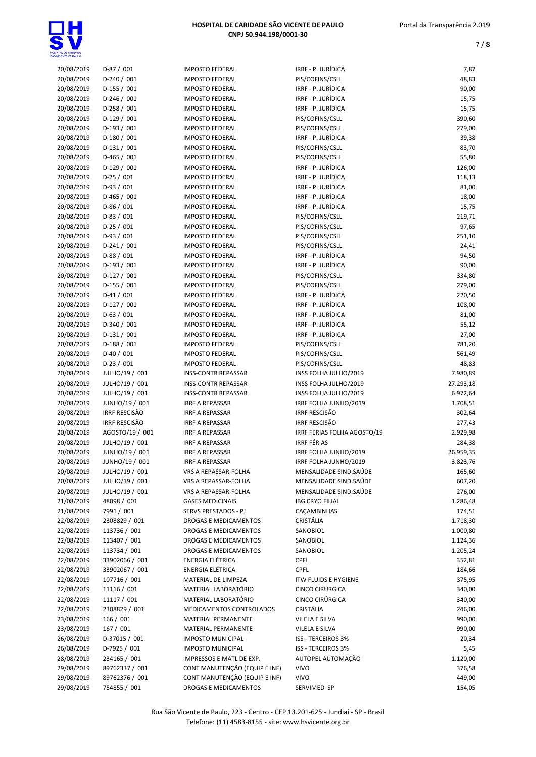| 20/08/2019 | $D-87/001$           | <b>IMPOSTO FEDERAL</b>        | IRRF - P. JURÍDICA          | 7,87      |
|------------|----------------------|-------------------------------|-----------------------------|-----------|
| 20/08/2019 | $D-240/001$          | <b>IMPOSTO FEDERAL</b>        | PIS/COFINS/CSLL             | 48,83     |
| 20/08/2019 | $D-155 / 001$        | <b>IMPOSTO FEDERAL</b>        | IRRF - P. JURÍDICA          | 90,00     |
| 20/08/2019 | $D-246 / 001$        | <b>IMPOSTO FEDERAL</b>        | IRRF - P. JURÍDICA          | 15,75     |
| 20/08/2019 | $D-258 / 001$        | <b>IMPOSTO FEDERAL</b>        | IRRF - P. JURÍDICA          | 15,75     |
| 20/08/2019 | $D-129/001$          | <b>IMPOSTO FEDERAL</b>        | PIS/COFINS/CSLL             | 390,60    |
| 20/08/2019 | $D-193/001$          | <b>IMPOSTO FEDERAL</b>        | PIS/COFINS/CSLL             | 279,00    |
| 20/08/2019 | $D-180/001$          | <b>IMPOSTO FEDERAL</b>        | IRRF - P. JURÍDICA          | 39,38     |
| 20/08/2019 | $D-131/001$          | <b>IMPOSTO FEDERAL</b>        | PIS/COFINS/CSLL             | 83,70     |
| 20/08/2019 | $D-465 / 001$        | <b>IMPOSTO FEDERAL</b>        | PIS/COFINS/CSLL             | 55,80     |
|            |                      | <b>IMPOSTO FEDERAL</b>        | IRRF - P. JURÍDICA          |           |
| 20/08/2019 | $D-129/001$          |                               |                             | 126,00    |
| 20/08/2019 | $D-25/001$           | <b>IMPOSTO FEDERAL</b>        | IRRF - P. JURÍDICA          | 118,13    |
| 20/08/2019 | $D-93/001$           | <b>IMPOSTO FEDERAL</b>        | IRRF - P. JURÍDICA          | 81,00     |
| 20/08/2019 | $D-465 / 001$        | <b>IMPOSTO FEDERAL</b>        | IRRF - P. JURÍDICA          | 18,00     |
| 20/08/2019 | $D-86/001$           | <b>IMPOSTO FEDERAL</b>        | IRRF - P. JURÍDICA          | 15,75     |
| 20/08/2019 | $D-83 / 001$         | <b>IMPOSTO FEDERAL</b>        | PIS/COFINS/CSLL             | 219,71    |
| 20/08/2019 | $D-25/001$           | <b>IMPOSTO FEDERAL</b>        | PIS/COFINS/CSLL             | 97,65     |
| 20/08/2019 | $D-93/001$           | <b>IMPOSTO FEDERAL</b>        | PIS/COFINS/CSLL             | 251,10    |
| 20/08/2019 | $D-241/001$          | <b>IMPOSTO FEDERAL</b>        | PIS/COFINS/CSLL             | 24,41     |
| 20/08/2019 | $D-88/001$           | <b>IMPOSTO FEDERAL</b>        | IRRF - P. JURÍDICA          | 94,50     |
| 20/08/2019 | $D-193/001$          | <b>IMPOSTO FEDERAL</b>        | IRRF - P. JURÍDICA          | 90,00     |
| 20/08/2019 | $D-127/001$          | <b>IMPOSTO FEDERAL</b>        | PIS/COFINS/CSLL             | 334,80    |
| 20/08/2019 | $D-155 / 001$        | <b>IMPOSTO FEDERAL</b>        | PIS/COFINS/CSLL             | 279,00    |
| 20/08/2019 | $D-41/001$           | <b>IMPOSTO FEDERAL</b>        | IRRF - P. JURÍDICA          | 220,50    |
| 20/08/2019 | $D-127/001$          | <b>IMPOSTO FEDERAL</b>        | IRRF - P. JURÍDICA          | 108,00    |
| 20/08/2019 | $D-63/001$           | <b>IMPOSTO FEDERAL</b>        | IRRF - P. JURÍDICA          | 81,00     |
| 20/08/2019 | $D-340 / 001$        | <b>IMPOSTO FEDERAL</b>        | IRRF - P. JURÍDICA          | 55,12     |
| 20/08/2019 | $D-131/001$          | <b>IMPOSTO FEDERAL</b>        | IRRF - P. JURÍDICA          | 27,00     |
| 20/08/2019 | $D-188/001$          | <b>IMPOSTO FEDERAL</b>        | PIS/COFINS/CSLL             | 781,20    |
| 20/08/2019 | $D-40/001$           | <b>IMPOSTO FEDERAL</b>        | PIS/COFINS/CSLL             | 561,49    |
| 20/08/2019 | $D-23/001$           | <b>IMPOSTO FEDERAL</b>        | PIS/COFINS/CSLL             | 48,83     |
|            |                      |                               |                             |           |
| 20/08/2019 | JULHO/19 / 001       | <b>INSS-CONTR REPASSAR</b>    | INSS FOLHA JULHO/2019       | 7.980,89  |
| 20/08/2019 | JULHO/19 / 001       | <b>INSS-CONTR REPASSAR</b>    | INSS FOLHA JULHO/2019       | 27.293,18 |
| 20/08/2019 | JULHO/19 / 001       | <b>INSS-CONTR REPASSAR</b>    | INSS FOLHA JULHO/2019       | 6.972,64  |
| 20/08/2019 | JUNHO/19 / 001       | <b>IRRF A REPASSAR</b>        | IRRF FOLHA JUNHO/2019       | 1.708,51  |
| 20/08/2019 | <b>IRRF RESCISÃO</b> | <b>IRRF A REPASSAR</b>        | <b>IRRF RESCISÃO</b>        | 302,64    |
| 20/08/2019 | <b>IRRF RESCISÃO</b> | <b>IRRF A REPASSAR</b>        | <b>IRRF RESCISÃO</b>        | 277,43    |
| 20/08/2019 | AGOSTO/19 / 001      | <b>IRRF A REPASSAR</b>        | IRRF FÉRIAS FOLHA AGOSTO/19 | 2.929,98  |
| 20/08/2019 | JULHO/19 / 001       | <b>IRRF A REPASSAR</b>        | <b>IRRF FÉRIAS</b>          | 284,38    |
| 20/08/2019 | JUNHO/19 / 001       | <b>IRRF A REPASSAR</b>        | IRRF FOLHA JUNHO/2019       | 26.959,35 |
| 20/08/2019 | JUNHO/19 / 001       | <b>IRRF A REPASSAR</b>        | IRRF FOLHA JUNHO/2019       | 3.823,76  |
| 20/08/2019 | JULHO/19 / 001       | VRS A REPASSAR-FOLHA          | MENSALIDADE SIND.SAÚDE      | 165,60    |
| 20/08/2019 | JULHO/19 / 001       | VRS A REPASSAR-FOLHA          | MENSALIDADE SIND.SAÚDE      | 607,20    |
| 20/08/2019 | JULHO/19 / 001       | VRS A REPASSAR-FOLHA          | MENSALIDADE SIND.SAÚDE      | 276,00    |
| 21/08/2019 | 48098 / 001          | <b>GASES MEDICINAIS</b>       | <b>IBG CRYO FILIAL</b>      | 1.286,48  |
| 21/08/2019 | 7991 / 001           | SERVS PRESTADOS - PJ          | CAÇAMBINHAS                 | 174,51    |
| 22/08/2019 | 2308829 / 001        | DROGAS E MEDICAMENTOS         | CRISTÁLIA                   | 1.718,30  |
| 22/08/2019 | 113736 / 001         | DROGAS E MEDICAMENTOS         | SANOBIOL                    | 1.000,80  |
| 22/08/2019 | 113407 / 001         | DROGAS E MEDICAMENTOS         | SANOBIOL                    | 1.124,36  |
| 22/08/2019 | 113734 / 001         | DROGAS E MEDICAMENTOS         | SANOBIOL                    | 1.205,24  |
| 22/08/2019 | 33902066 / 001       | ENERGIA ELÉTRICA              | CPFL                        | 352,81    |
|            | 33902067 / 001       | ENERGIA ELÉTRICA              | <b>CPFL</b>                 |           |
| 22/08/2019 |                      |                               |                             | 184,66    |
| 22/08/2019 | 107716 / 001         | MATERIAL DE LIMPEZA           | <b>ITW FLUIDS E HYGIENE</b> | 375,95    |
| 22/08/2019 | 11116 / 001          | MATERIAL LABORATÓRIO          | CINCO CIRÚRGICA             | 340,00    |
| 22/08/2019 | 11117 / 001          | MATERIAL LABORATÓRIO          | CINCO CIRÚRGICA             | 340,00    |
| 22/08/2019 | 2308829 / 001        | MEDICAMENTOS CONTROLADOS      | CRISTÁLIA                   | 246,00    |
| 23/08/2019 | 166 / 001            | MATERIAL PERMANENTE           | VILELA E SILVA              | 990,00    |
| 23/08/2019 | 167/001              | MATERIAL PERMANENTE           | VILELA E SILVA              | 990,00    |
| 26/08/2019 | D-37015 / 001        | <b>IMPOSTO MUNICIPAL</b>      | <b>ISS - TERCEIROS 3%</b>   | 20,34     |
| 26/08/2019 | D-7925 / 001         | <b>IMPOSTO MUNICIPAL</b>      | <b>ISS - TERCEIROS 3%</b>   | 5,45      |
| 28/08/2019 | 234165 / 001         | IMPRESSOS E MATL DE EXP.      | AUTOPEL AUTOMAÇÃO           | 1.120,00  |
| 29/08/2019 | 89762337 / 001       | CONT MANUTENÇÃO (EQUIP E INF) | <b>VIVO</b>                 | 376,58    |
| 29/08/2019 | 89762376 / 001       | CONT MANUTENÇÃO (EQUIP E INF) | <b>VIVO</b>                 | 449,00    |
| 29/08/2019 | 754855 / 001         | DROGAS E MEDICAMENTOS         | SERVIMED SP                 | 154,05    |